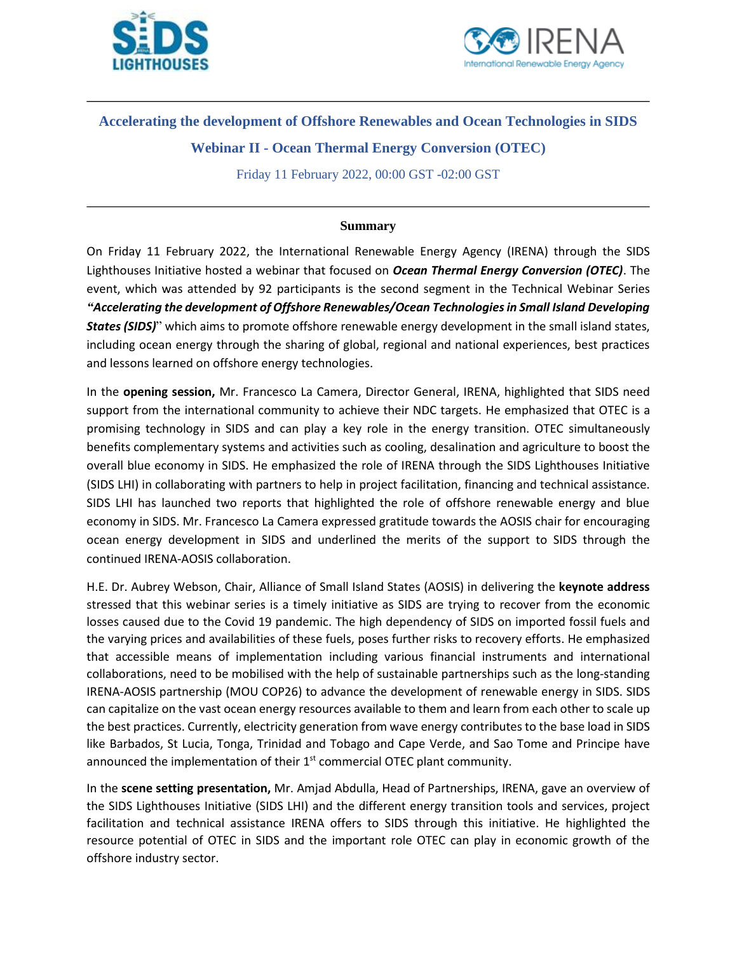



## **Accelerating the development of Offshore Renewables and Ocean Technologies in SIDS**

**Webinar II - Ocean Thermal Energy Conversion (OTEC)**

Friday 11 February 2022, 00:00 GST -02:00 GST

## **Summary**

On Friday 11 February 2022, the International Renewable Energy Agency (IRENA) through the SIDS Lighthouses Initiative hosted a webinar that focused on *Ocean Thermal Energy Conversion (OTEC)*. The event, which was attended by 92 participants is the second segment in the Technical Webinar Series *"Accelerating the development of Offshore Renewables/Ocean Technologies in Small Island Developing States (SIDS)*" which aims to promote offshore renewable energy development in the small island states, including ocean energy through the sharing of global, regional and national experiences, best practices and lessons learned on offshore energy technologies.

In the **opening session,** Mr. Francesco La Camera, Director General, IRENA, highlighted that SIDS need support from the international community to achieve their NDC targets. He emphasized that OTEC is a promising technology in SIDS and can play a key role in the energy transition. OTEC simultaneously benefits complementary systems and activities such as cooling, desalination and agriculture to boost the overall blue economy in SIDS. He emphasized the role of IRENA through the SIDS Lighthouses Initiative (SIDS LHI) in collaborating with partners to help in project facilitation, financing and technical assistance. SIDS LHI has launched two reports that highlighted the role of offshore renewable energy and blue economy in SIDS. Mr. Francesco La Camera expressed gratitude towards the AOSIS chair for encouraging ocean energy development in SIDS and underlined the merits of the support to SIDS through the continued IRENA-AOSIS collaboration.

H.E. Dr. Aubrey Webson, Chair, Alliance of Small Island States (AOSIS) in delivering the **keynote address** stressed that this webinar series is a timely initiative as SIDS are trying to recover from the economic losses caused due to the Covid 19 pandemic. The high dependency of SIDS on imported fossil fuels and the varying prices and availabilities of these fuels, poses further risks to recovery efforts. He emphasized that accessible means of implementation including various financial instruments and international collaborations, need to be mobilised with the help of sustainable partnerships such as the long-standing IRENA-AOSIS partnership (MOU COP26) to advance the development of renewable energy in SIDS. SIDS can capitalize on the vast ocean energy resources available to them and learn from each other to scale up the best practices. Currently, electricity generation from wave energy contributes to the base load in SIDS like Barbados, St Lucia, Tonga, Trinidad and Tobago and Cape Verde, and Sao Tome and Principe have announced the implementation of their 1<sup>st</sup> commercial OTEC plant community.

In the **scene setting presentation,** Mr. Amjad Abdulla, Head of Partnerships, IRENA, gave an overview of the SIDS Lighthouses Initiative (SIDS LHI) and the different energy transition tools and services, project facilitation and technical assistance IRENA offers to SIDS through this initiative. He highlighted the resource potential of OTEC in SIDS and the important role OTEC can play in economic growth of the offshore industry sector.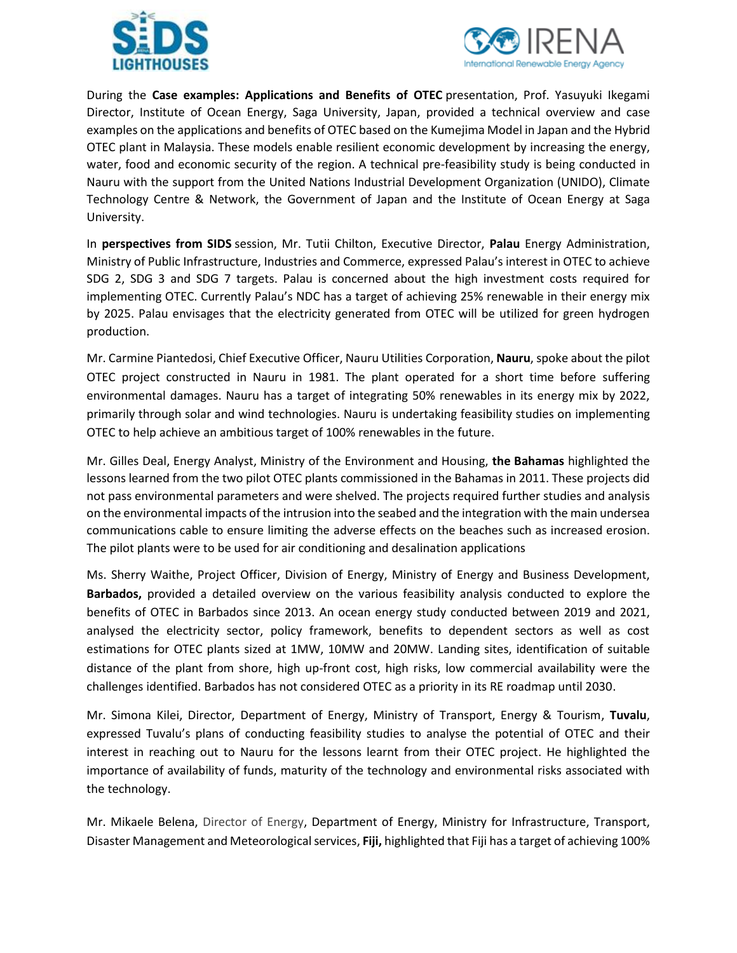



During the **Case examples: Applications and Benefits of OTEC** presentation, Prof. Yasuyuki Ikegami Director, Institute of Ocean Energy, Saga University, Japan, provided a technical overview and case examples on the applications and benefits of OTEC based on the Kumejima Model in Japan and the Hybrid OTEC plant in Malaysia. These models enable resilient economic development by increasing the energy, water, food and economic security of the region. A technical pre-feasibility study is being conducted in Nauru with the support from the United Nations Industrial Development Organization (UNIDO), Climate Technology Centre & Network, the Government of Japan and the Institute of Ocean Energy at Saga University.

In **perspectives from SIDS** session, Mr. Tutii Chilton, Executive Director, **Palau** Energy Administration, Ministry of Public Infrastructure, Industries and Commerce, expressed Palau's interest in OTEC to achieve SDG 2, SDG 3 and SDG 7 targets. Palau is concerned about the high investment costs required for implementing OTEC. Currently Palau's NDC has a target of achieving 25% renewable in their energy mix by 2025. Palau envisages that the electricity generated from OTEC will be utilized for green hydrogen production.

Mr. Carmine Piantedosi, Chief Executive Officer, Nauru Utilities Corporation, **Nauru**, spoke about the pilot OTEC project constructed in Nauru in 1981. The plant operated for a short time before suffering environmental damages. Nauru has a target of integrating 50% renewables in its energy mix by 2022, primarily through solar and wind technologies. Nauru is undertaking feasibility studies on implementing OTEC to help achieve an ambitious target of 100% renewables in the future.

Mr. Gilles Deal, Energy Analyst, Ministry of the Environment and Housing, **the Bahamas** highlighted the lessons learned from the two pilot OTEC plants commissioned in the Bahamas in 2011. These projects did not pass environmental parameters and were shelved. The projects required further studies and analysis on the environmental impacts of the intrusion into the seabed and the integration with the main undersea communications cable to ensure limiting the adverse effects on the beaches such as increased erosion. The pilot plants were to be used for air conditioning and desalination applications

Ms. Sherry Waithe, Project Officer, Division of Energy, Ministry of Energy and Business Development, **Barbados,** provided a detailed overview on the various feasibility analysis conducted to explore the benefits of OTEC in Barbados since 2013. An ocean energy study conducted between 2019 and 2021, analysed the electricity sector, policy framework, benefits to dependent sectors as well as cost estimations for OTEC plants sized at 1MW, 10MW and 20MW. Landing sites, identification of suitable distance of the plant from shore, high up-front cost, high risks, low commercial availability were the challenges identified. Barbados has not considered OTEC as a priority in its RE roadmap until 2030.

Mr. Simona Kilei, Director, Department of Energy, Ministry of Transport, Energy & Tourism, **Tuvalu**, expressed Tuvalu's plans of conducting feasibility studies to analyse the potential of OTEC and their interest in reaching out to Nauru for the lessons learnt from their OTEC project. He highlighted the importance of availability of funds, maturity of the technology and environmental risks associated with the technology.

Mr. Mikaele Belena, Director of Energy, Department of Energy, Ministry for Infrastructure, Transport, Disaster Management and Meteorological services, **Fiji,** highlighted that Fiji has a target of achieving 100%